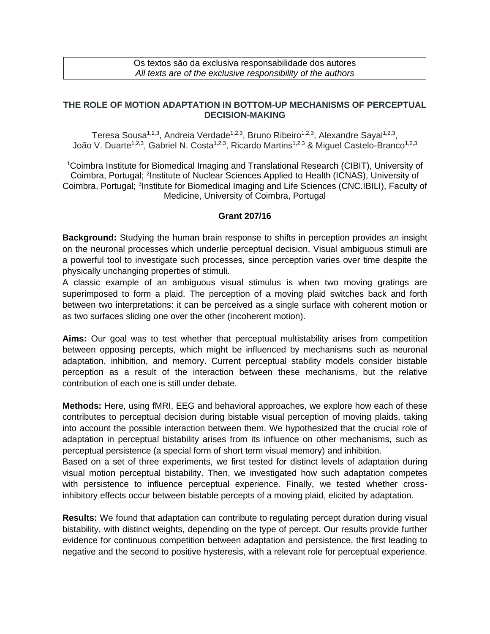Os textos são da exclusiva responsabilidade dos autores *All texts are of the exclusive responsibility of the authors*

## **THE ROLE OF MOTION ADAPTATION IN BOTTOM-UP MECHANISMS OF PERCEPTUAL DECISION-MAKING**

Teresa Sousa<sup>1,2,3</sup>, Andreia Verdade<sup>1,2,3</sup>, Bruno Ribeiro<sup>1,2,3</sup>, Alexandre Sayal<sup>1,2,3</sup>, João V. Duarte<sup>1,2,3</sup>, Gabriel N. Costa<sup>1,2,3</sup>, Ricardo Martins<sup>1,2,3</sup> & Miguel Castelo-Branco<sup>1,2,3</sup>

<sup>1</sup>Coimbra Institute for Biomedical Imaging and Translational Research (CIBIT), University of Coimbra, Portugal; <sup>2</sup>Institute of Nuclear Sciences Applied to Health (ICNAS), University of Coimbra, Portugal; <sup>3</sup>Institute for Biomedical Imaging and Life Sciences (CNC.IBILI), Faculty of Medicine, University of Coimbra, Portugal

## **Grant 207/16**

**Background:** Studying the human brain response to shifts in perception provides an insight on the neuronal processes which underlie perceptual decision. Visual ambiguous stimuli are a powerful tool to investigate such processes, since perception varies over time despite the physically unchanging properties of stimuli.

A classic example of an ambiguous visual stimulus is when two moving gratings are superimposed to form a plaid. The perception of a moving plaid switches back and forth between two interpretations: it can be perceived as a single surface with coherent motion or as two surfaces sliding one over the other (incoherent motion).

**Aims:** Our goal was to test whether that perceptual multistability arises from competition between opposing percepts, which might be influenced by mechanisms such as neuronal adaptation, inhibition, and memory. Current perceptual stability models consider bistable perception as a result of the interaction between these mechanisms, but the relative contribution of each one is still under debate.

**Methods:** Here, using fMRI, EEG and behavioral approaches, we explore how each of these contributes to perceptual decision during bistable visual perception of moving plaids, taking into account the possible interaction between them. We hypothesized that the crucial role of adaptation in perceptual bistability arises from its influence on other mechanisms, such as perceptual persistence (a special form of short term visual memory) and inhibition.

Based on a set of three experiments, we first tested for distinct levels of adaptation during visual motion perceptual bistability. Then, we investigated how such adaptation competes with persistence to influence perceptual experience. Finally, we tested whether crossinhibitory effects occur between bistable percepts of a moving plaid, elicited by adaptation.

**Results:** We found that adaptation can contribute to regulating percept duration during visual bistability, with distinct weights, depending on the type of percept. Our results provide further evidence for continuous competition between adaptation and persistence, the first leading to negative and the second to positive hysteresis, with a relevant role for perceptual experience.